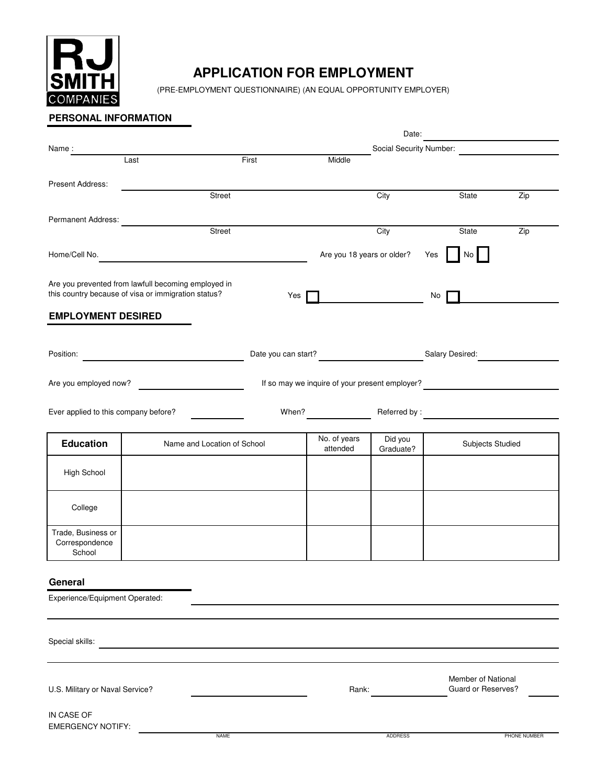

# **APPLICATION FOR EMPLOYMENT**

(PRE-EMPLOYMENT QUESTIONNAIRE) (AN EQUAL OPPORTUNITY EMPLOYER)

## **PERSONAL INFORMATION**

|                                        |                                                     |       |                                                | Date:          |     |                                          |                                                                                                                      |  |
|----------------------------------------|-----------------------------------------------------|-------|------------------------------------------------|----------------|-----|------------------------------------------|----------------------------------------------------------------------------------------------------------------------|--|
| Name:                                  |                                                     |       | Social Security Number:                        |                |     |                                          |                                                                                                                      |  |
|                                        | Last                                                | First | Middle                                         |                |     |                                          |                                                                                                                      |  |
|                                        |                                                     |       |                                                |                |     |                                          |                                                                                                                      |  |
| Present Address:                       |                                                     |       |                                                |                |     |                                          |                                                                                                                      |  |
|                                        | Street                                              |       |                                                | City           |     | State                                    | Zip                                                                                                                  |  |
|                                        |                                                     |       |                                                |                |     |                                          |                                                                                                                      |  |
| Permanent Address:                     |                                                     |       |                                                |                |     |                                          |                                                                                                                      |  |
|                                        | Street                                              |       |                                                | City           |     | State                                    | Zip                                                                                                                  |  |
|                                        |                                                     |       |                                                |                |     |                                          |                                                                                                                      |  |
| Home/Cell No.                          |                                                     |       | Are you 18 years or older?                     |                | Yes | No                                       |                                                                                                                      |  |
|                                        |                                                     |       |                                                |                |     |                                          |                                                                                                                      |  |
|                                        | Are you prevented from lawfull becoming employed in |       |                                                |                |     |                                          |                                                                                                                      |  |
|                                        | this country because of visa or immigration status? | Yes   |                                                |                | No  |                                          |                                                                                                                      |  |
|                                        |                                                     |       |                                                |                |     |                                          |                                                                                                                      |  |
| <b>EMPLOYMENT DESIRED</b>              |                                                     |       |                                                |                |     |                                          |                                                                                                                      |  |
|                                        |                                                     |       |                                                |                |     |                                          |                                                                                                                      |  |
|                                        |                                                     |       |                                                |                |     |                                          |                                                                                                                      |  |
| Position:                              |                                                     |       | Date you can start? Salary Desired:            |                |     |                                          |                                                                                                                      |  |
|                                        |                                                     |       |                                                |                |     |                                          |                                                                                                                      |  |
| Are you employed now?                  |                                                     |       | If so may we inquire of your present employer? |                |     |                                          |                                                                                                                      |  |
|                                        |                                                     |       |                                                |                |     |                                          |                                                                                                                      |  |
|                                        |                                                     |       |                                                |                |     |                                          |                                                                                                                      |  |
| Ever applied to this company before?   |                                                     | When? |                                                | Referred by:   |     |                                          | <u> 1980 - Jan Stein Stein Stein Stein Stein Stein Stein Stein Stein Stein Stein Stein Stein Stein Stein Stein S</u> |  |
|                                        |                                                     |       |                                                |                |     |                                          |                                                                                                                      |  |
| <b>Education</b>                       | Name and Location of School                         |       | No. of years                                   | Did you        |     | Subjects Studied                         |                                                                                                                      |  |
|                                        |                                                     |       | attended                                       | Graduate?      |     |                                          |                                                                                                                      |  |
|                                        |                                                     |       |                                                |                |     |                                          |                                                                                                                      |  |
| High School                            |                                                     |       |                                                |                |     |                                          |                                                                                                                      |  |
|                                        |                                                     |       |                                                |                |     |                                          |                                                                                                                      |  |
|                                        |                                                     |       |                                                |                |     |                                          |                                                                                                                      |  |
| College                                |                                                     |       |                                                |                |     |                                          |                                                                                                                      |  |
|                                        |                                                     |       |                                                |                |     |                                          |                                                                                                                      |  |
| Trade, Business or                     |                                                     |       |                                                |                |     |                                          |                                                                                                                      |  |
| Correspondence<br>School               |                                                     |       |                                                |                |     |                                          |                                                                                                                      |  |
|                                        |                                                     |       |                                                |                |     |                                          |                                                                                                                      |  |
|                                        |                                                     |       |                                                |                |     |                                          |                                                                                                                      |  |
| General                                |                                                     |       |                                                |                |     |                                          |                                                                                                                      |  |
| Experience/Equipment Operated:         |                                                     |       |                                                |                |     |                                          |                                                                                                                      |  |
|                                        |                                                     |       |                                                |                |     |                                          |                                                                                                                      |  |
|                                        |                                                     |       |                                                |                |     |                                          |                                                                                                                      |  |
|                                        |                                                     |       |                                                |                |     |                                          |                                                                                                                      |  |
| Special skills:                        |                                                     |       |                                                |                |     |                                          |                                                                                                                      |  |
|                                        |                                                     |       |                                                |                |     |                                          |                                                                                                                      |  |
|                                        |                                                     |       |                                                |                |     |                                          |                                                                                                                      |  |
| U.S. Military or Naval Service?        |                                                     |       | Rank:                                          |                |     | Member of National<br>Guard or Reserves? |                                                                                                                      |  |
|                                        |                                                     |       |                                                |                |     |                                          |                                                                                                                      |  |
|                                        |                                                     |       |                                                |                |     |                                          |                                                                                                                      |  |
| IN CASE OF<br><b>EMERGENCY NOTIFY:</b> |                                                     |       |                                                |                |     |                                          |                                                                                                                      |  |
|                                        | <b>NAME</b>                                         |       |                                                | <b>ADDRESS</b> |     |                                          | PHONE NUMBER                                                                                                         |  |